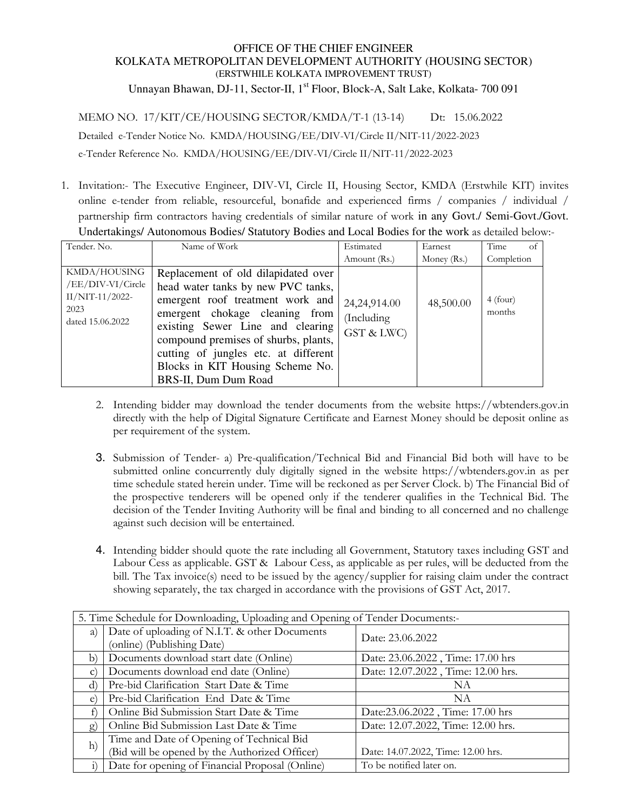## OFFICE OF THE CHIEF ENGINEER KOLKATA METROPOLITAN DEVELOPMENT AUTHORITY (HOUSING SECTOR) (ERSTWHILE KOLKATA IMPROVEMENT TRUST)

Unnayan Bhawan, DJ-11, Sector-II, 1<sup>st</sup> Floor, Block-A, Salt Lake, Kolkata- 700 091

MEMO NO. 17/KIT/CE/HOUSING SECTOR/KMDA/T-1 (13-14) Dt: 15.06.2022

Detailed e-Tender Notice No. KMDA/HOUSING/EE/DIV-VI/Circle II/NIT-11/2022-2023

e-Tender Reference No. KMDA/HOUSING/EE/DIV-VI/Circle II/NIT-11/2022-2023

1. Invitation:- The Executive Engineer, DIV-VI, Circle II, Housing Sector, KMDA (Erstwhile KIT) invites online e-tender from reliable, resourceful, bonafide and experienced firms / companies / individual / partnership firm contractors having credentials of similar nature of work in any Govt./ Semi-Govt./Govt. Undertakings/ Autonomous Bodies/ Statutory Bodies and Local Bodies for the work as detailed below:-

| Tender. No.                                                                        | Name of Work                                                                                                                                                                                                                                                                                                                    | Estimated                                | Earnest     | Time<br>of           |
|------------------------------------------------------------------------------------|---------------------------------------------------------------------------------------------------------------------------------------------------------------------------------------------------------------------------------------------------------------------------------------------------------------------------------|------------------------------------------|-------------|----------------------|
|                                                                                    |                                                                                                                                                                                                                                                                                                                                 | Amount (Rs.)                             | Money (Rs.) | Completion           |
| KMDA/HOUSING<br>/EE/DIV-VI/Circle<br>$II/NIT-11/2022-$<br>2023<br>dated 15.06.2022 | Replacement of old dilapidated over<br>head water tanks by new PVC tanks,<br>emergent roof treatment work and<br>emergent chokage cleaning from<br>existing Sewer Line and clearing<br>compound premises of shurbs, plants,<br>cutting of jungles etc. at different<br>Blocks in KIT Housing Scheme No.<br>BRS-II, Dum Dum Road | 24,24,914.00<br>(Including<br>GST & LWC) | 48,500.00   | $4$ (four)<br>months |

- 2. Intending bidder may download the tender documents from the website https://wbtenders.gov.in directly with the help of Digital Signature Certificate and Earnest Money should be deposit online as per requirement of the system.
- 3. Submission of Tender- a) Pre-qualification/Technical Bid and Financial Bid both will have to be submitted online concurrently duly digitally signed in the website https://wbtenders.gov.in as per time schedule stated herein under. Time will be reckoned as per Server Clock. b) The Financial Bid of the prospective tenderers will be opened only if the tenderer qualifies in the Technical Bid. The decision of the Tender Inviting Authority will be final and binding to all concerned and no challenge against such decision will be entertained.
- 4. Intending bidder should quote the rate including all Government, Statutory taxes including GST and Labour Cess as applicable. GST & Labour Cess, as applicable as per rules, will be deducted from the bill. The Tax invoice(s) need to be issued by the agency/supplier for raising claim under the contract showing separately, the tax charged in accordance with the provisions of GST Act, 2017.

| 5. Time Schedule for Downloading, Uploading and Opening of Tender Documents:- |                                                 |                                    |  |
|-------------------------------------------------------------------------------|-------------------------------------------------|------------------------------------|--|
| a)                                                                            | Date of uploading of N.I.T. & other Documents   | Date: 23.06.2022                   |  |
|                                                                               | (online) (Publishing Date)                      |                                    |  |
| $\mathbf{b}$                                                                  | Documents download start date (Online)          | Date: 23.06.2022, Time: 17.00 hrs  |  |
| $\mathcal{C}$ )                                                               | Documents download end date (Online)            | Date: 12.07.2022, Time: 12.00 hrs. |  |
| d)                                                                            | Pre-bid Clarification Start Date & Time         | NA                                 |  |
| e)                                                                            | Pre-bid Clarification End Date & Time           | NA                                 |  |
|                                                                               | Online Bid Submission Start Date & Time         | Date:23.06.2022, Time: 17.00 hrs   |  |
| $\mathbf{g}$                                                                  | Online Bid Submission Last Date & Time          | Date: 12.07.2022, Time: 12.00 hrs. |  |
| h)                                                                            | Time and Date of Opening of Technical Bid       |                                    |  |
|                                                                               | (Bid will be opened by the Authorized Officer)  | Date: 14.07.2022, Time: 12.00 hrs. |  |
| $\ddot{i}$                                                                    | Date for opening of Financial Proposal (Online) | To be notified later on.           |  |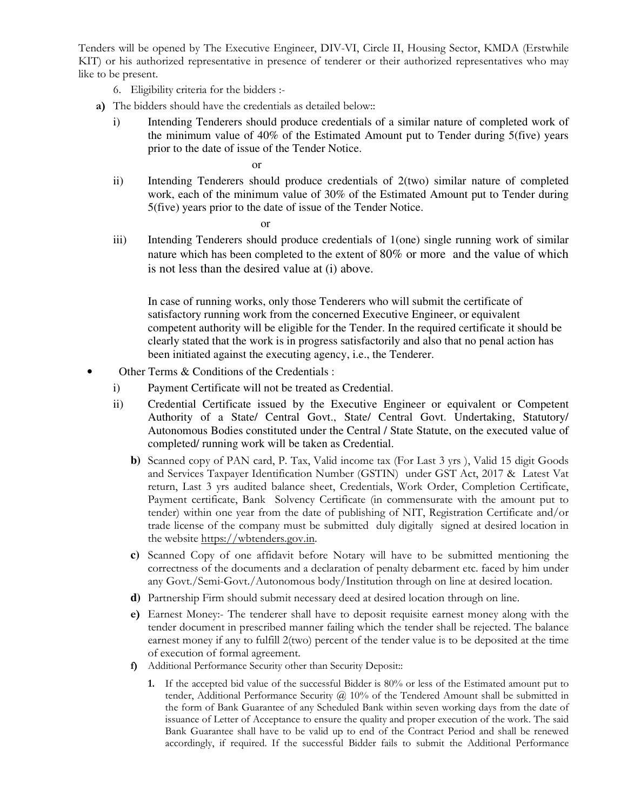Tenders will be opened by The Executive Engineer, DIV-VI, Circle II, Housing Sector, KMDA (Erstwhile KIT) or his authorized representative in presence of tenderer or their authorized representatives who may like to be present.

- 6. Eligibility criteria for the bidders :-
- **a)** The bidders should have the credentials as detailed below::
	- i) Intending Tenderers should produce credentials of a similar nature of completed work of the minimum value of 40% of the Estimated Amount put to Tender during 5(five) years prior to the date of issue of the Tender Notice.

or

ii) Intending Tenderers should produce credentials of 2(two) similar nature of completed work, each of the minimum value of 30% of the Estimated Amount put to Tender during 5(five) years prior to the date of issue of the Tender Notice.

or

iii) Intending Tenderers should produce credentials of 1(one) single running work of similar nature which has been completed to the extent of 80% or more and the value of which is not less than the desired value at (i) above.

In case of running works, only those Tenderers who will submit the certificate of satisfactory running work from the concerned Executive Engineer, or equivalent competent authority will be eligible for the Tender. In the required certificate it should be clearly stated that the work is in progress satisfactorily and also that no penal action has been initiated against the executing agency, i.e., the Tenderer.

- Other Terms & Conditions of the Credentials :
	- i) Payment Certificate will not be treated as Credential.
	- ii) Credential Certificate issued by the Executive Engineer or equivalent or Competent Authority of a State/ Central Govt., State/ Central Govt. Undertaking, Statutory/ Autonomous Bodies constituted under the Central / State Statute, on the executed value of completed/ running work will be taken as Credential.
		- **b)** Scanned copy of PAN card, P. Tax, Valid income tax (For Last 3 yrs ), Valid 15 digit Goods and Services Taxpayer Identification Number (GSTIN) under GST Act, 2017 & Latest Vat return, Last 3 yrs audited balance sheet, Credentials, Work Order, Completion Certificate, Payment certificate, Bank Solvency Certificate (in commensurate with the amount put to tender) within one year from the date of publishing of NIT, Registration Certificate and/or trade license of the company must be submitted duly digitally signed at desired location in the website https://wbtenders.gov.in.
		- **c)** Scanned Copy of one affidavit before Notary will have to be submitted mentioning the correctness of the documents and a declaration of penalty debarment etc. faced by him under any Govt./Semi-Govt./Autonomous body/Institution through on line at desired location.
		- **d)** Partnership Firm should submit necessary deed at desired location through on line.
		- **e)** Earnest Money:- The tenderer shall have to deposit requisite earnest money along with the tender document in prescribed manner failing which the tender shall be rejected. The balance earnest money if any to fulfill 2(two) percent of the tender value is to be deposited at the time of execution of formal agreement.
		- **f)** Additional Performance Security other than Security Deposit::
			- **1.** If the accepted bid value of the successful Bidder is 80% or less of the Estimated amount put to tender, Additional Performance Security  $\omega$  10% of the Tendered Amount shall be submitted in the form of Bank Guarantee of any Scheduled Bank within seven working days from the date of issuance of Letter of Acceptance to ensure the quality and proper execution of the work. The said Bank Guarantee shall have to be valid up to end of the Contract Period and shall be renewed accordingly, if required. If the successful Bidder fails to submit the Additional Performance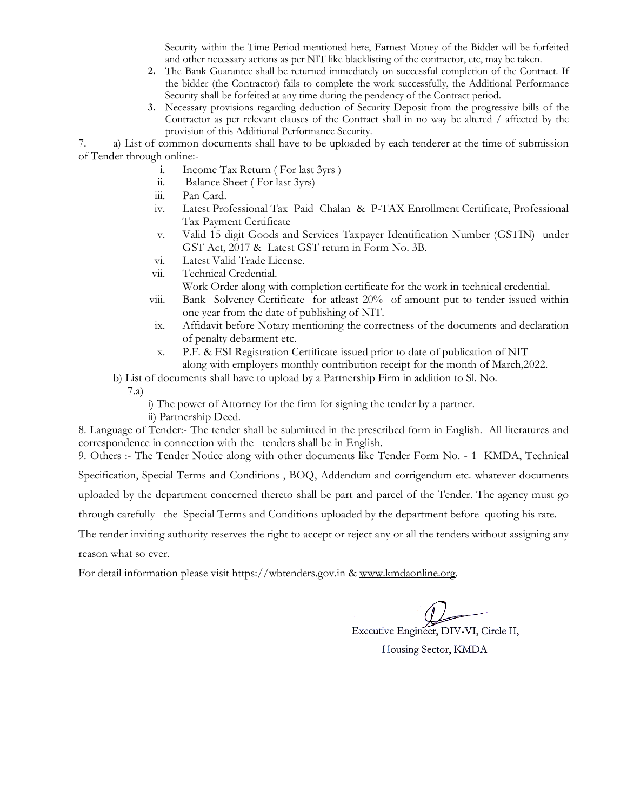Security within the Time Period mentioned here, Earnest Money of the Bidder will be forfeited and other necessary actions as per NIT like blacklisting of the contractor, etc, may be taken.

- **2.** The Bank Guarantee shall be returned immediately on successful completion of the Contract. If the bidder (the Contractor) fails to complete the work successfully, the Additional Performance Security shall be forfeited at any time during the pendency of the Contract period.
- **3.** Necessary provisions regarding deduction of Security Deposit from the progressive bills of the Contractor as per relevant clauses of the Contract shall in no way be altered / affected by the provision of this Additional Performance Security.

7. a) List of common documents shall have to be uploaded by each tenderer at the time of submission of Tender through online:-

- i. Income Tax Return ( For last 3yrs )
- ii. Balance Sheet ( For last 3yrs)
- iii. Pan Card.
- iv. Latest Professional Tax Paid Chalan & P-TAX Enrollment Certificate, Professional Tax Payment Certificate
- v. Valid 15 digit Goods and Services Taxpayer Identification Number (GSTIN) under GST Act, 2017 & Latest GST return in Form No. 3B.
- vi. Latest Valid Trade License.
- vii. Technical Credential.
	- Work Order along with completion certificate for the work in technical credential.
- viii. Bank Solvency Certificate for atleast 20% of amount put to tender issued within one year from the date of publishing of NIT.
- ix. Affidavit before Notary mentioning the correctness of the documents and declaration of penalty debarment etc.
- x. P.F. & ESI Registration Certificate issued prior to date of publication of NIT along with employers monthly contribution receipt for the month of March,2022.
- b) List of documents shall have to upload by a Partnership Firm in addition to Sl. No.
	- 7.a)
		- i) The power of Attorney for the firm for signing the tender by a partner.
		- ii) Partnership Deed.

8. Language of Tender:- The tender shall be submitted in the prescribed form in English. All literatures and correspondence in connection with the tenders shall be in English.

9. Others :- The Tender Notice along with other documents like Tender Form No. - 1 KMDA, Technical

Specification, Special Terms and Conditions , BOQ, Addendum and corrigendum etc. whatever documents

uploaded by the department concerned thereto shall be part and parcel of the Tender. The agency must go

through carefully the Special Terms and Conditions uploaded by the department before quoting his rate.

The tender inviting authority reserves the right to accept or reject any or all the tenders without assigning any reason what so ever.

For detail information please visit https://wbtenders.gov.in & www.kmdaonline.org.

Executive Engineer, DIV-VI, Circle II,

Housing Sector, KMDA